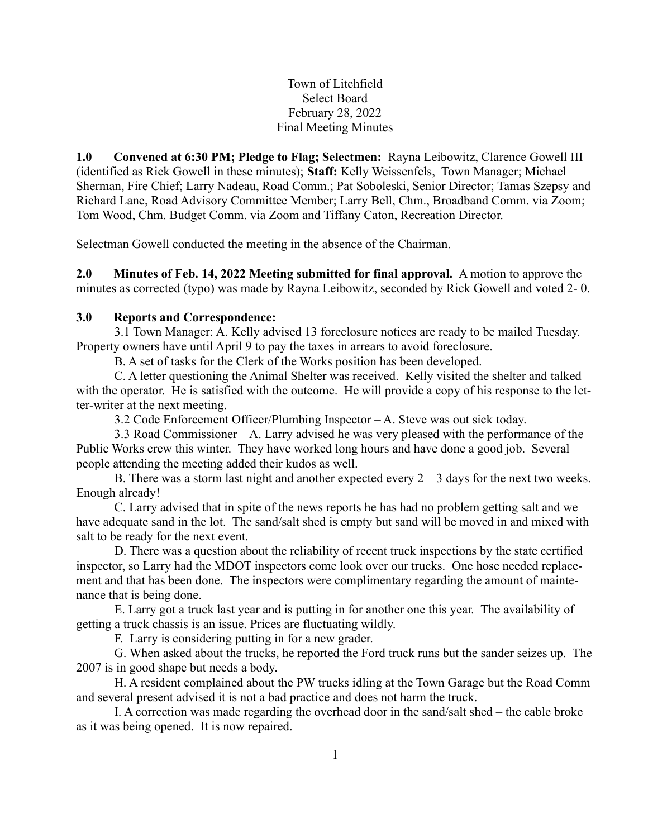Town of Litchfield Select Board February 28, 2022 Final Meeting Minutes

1.0 Convened at 6:30 PM; Pledge to Flag; Selectmen: Rayna Leibowitz, Clarence Gowell III (identified as Rick Gowell in these minutes); Staff: Kelly Weissenfels, Town Manager; Michael Sherman, Fire Chief; Larry Nadeau, Road Comm.; Pat Soboleski, Senior Director; Tamas Szepsy and Richard Lane, Road Advisory Committee Member; Larry Bell, Chm., Broadband Comm. via Zoom; Tom Wood, Chm. Budget Comm. via Zoom and Tiffany Caton, Recreation Director.

Selectman Gowell conducted the meeting in the absence of the Chairman.

2.0 Minutes of Feb. 14, 2022 Meeting submitted for final approval. A motion to approve the minutes as corrected (typo) was made by Rayna Leibowitz, seconded by Rick Gowell and voted 2- 0.

#### 3.0 Reports and Correspondence:

3.1 Town Manager: A. Kelly advised 13 foreclosure notices are ready to be mailed Tuesday. Property owners have until April 9 to pay the taxes in arrears to avoid foreclosure.

B. A set of tasks for the Clerk of the Works position has been developed.

C. A letter questioning the Animal Shelter was received. Kelly visited the shelter and talked with the operator. He is satisfied with the outcome. He will provide a copy of his response to the letter-writer at the next meeting.

3.2 Code Enforcement Officer/Plumbing Inspector – A. Steve was out sick today.

3.3 Road Commissioner – A. Larry advised he was very pleased with the performance of the Public Works crew this winter. They have worked long hours and have done a good job. Several people attending the meeting added their kudos as well.

B. There was a storm last night and another expected every  $2 - 3$  days for the next two weeks. Enough already!

C. Larry advised that in spite of the news reports he has had no problem getting salt and we have adequate sand in the lot. The sand/salt shed is empty but sand will be moved in and mixed with salt to be ready for the next event.

D. There was a question about the reliability of recent truck inspections by the state certified inspector, so Larry had the MDOT inspectors come look over our trucks. One hose needed replacement and that has been done. The inspectors were complimentary regarding the amount of maintenance that is being done.

E. Larry got a truck last year and is putting in for another one this year. The availability of getting a truck chassis is an issue. Prices are fluctuating wildly.

F. Larry is considering putting in for a new grader.

G. When asked about the trucks, he reported the Ford truck runs but the sander seizes up. The 2007 is in good shape but needs a body.

H. A resident complained about the PW trucks idling at the Town Garage but the Road Comm and several present advised it is not a bad practice and does not harm the truck.

I. A correction was made regarding the overhead door in the sand/salt shed – the cable broke as it was being opened. It is now repaired.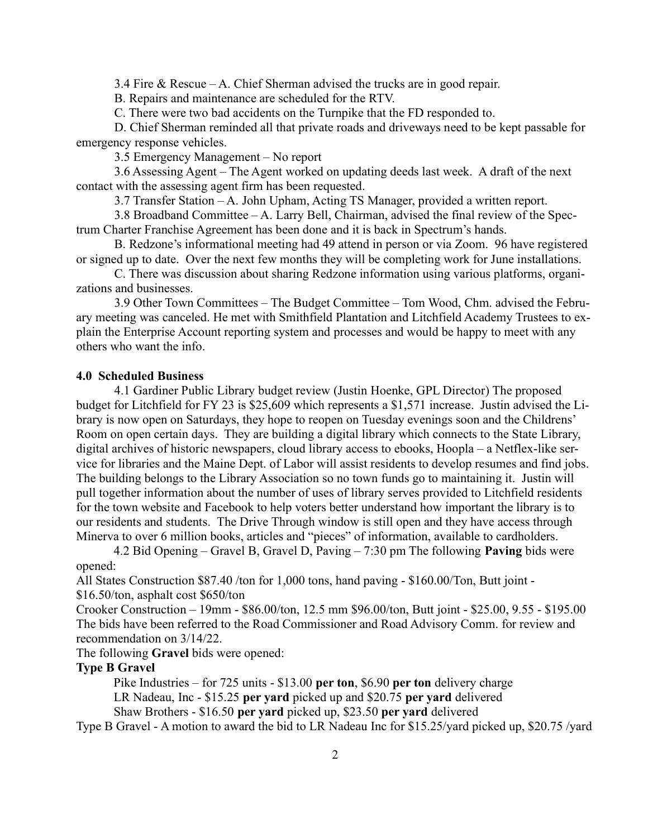3.4 Fire & Rescue – A. Chief Sherman advised the trucks are in good repair.

B. Repairs and maintenance are scheduled for the RTV.

C. There were two bad accidents on the Turnpike that the FD responded to.

D. Chief Sherman reminded all that private roads and driveways need to be kept passable for emergency response vehicles.

3.5 Emergency Management – No report

3.6 Assessing Agent – The Agent worked on updating deeds last week. A draft of the next contact with the assessing agent firm has been requested.

3.7 Transfer Station – A. John Upham, Acting TS Manager, provided a written report.

3.8 Broadband Committee – A. Larry Bell, Chairman, advised the final review of the Spectrum Charter Franchise Agreement has been done and it is back in Spectrum's hands.

B. Redzone's informational meeting had 49 attend in person or via Zoom. 96 have registered or signed up to date. Over the next few months they will be completing work for June installations.

C. There was discussion about sharing Redzone information using various platforms, organizations and businesses.

3.9 Other Town Committees – The Budget Committee – Tom Wood, Chm. advised the February meeting was canceled. He met with Smithfield Plantation and Litchfield Academy Trustees to explain the Enterprise Account reporting system and processes and would be happy to meet with any others who want the info.

#### 4.0 Scheduled Business

4.1 Gardiner Public Library budget review (Justin Hoenke, GPL Director) The proposed budget for Litchfield for FY 23 is \$25,609 which represents a \$1,571 increase. Justin advised the Library is now open on Saturdays, they hope to reopen on Tuesday evenings soon and the Childrens' Room on open certain days. They are building a digital library which connects to the State Library, digital archives of historic newspapers, cloud library access to ebooks, Hoopla – a Netflex-like service for libraries and the Maine Dept. of Labor will assist residents to develop resumes and find jobs. The building belongs to the Library Association so no town funds go to maintaining it. Justin will pull together information about the number of uses of library serves provided to Litchfield residents for the town website and Facebook to help voters better understand how important the library is to our residents and students. The Drive Through window is still open and they have access through Minerva to over 6 million books, articles and "pieces" of information, available to cardholders.

 4.2 Bid Opening – Gravel B, Gravel D, Paving – 7:30 pm The following Paving bids were opened:

All States Construction \$87.40 /ton for 1,000 tons, hand paving - \$160.00/Ton, Butt joint - \$16.50/ton, asphalt cost \$650/ton

Crooker Construction – 19mm - \$86.00/ton, 12.5 mm \$96.00/ton, Butt joint - \$25.00, 9.55 - \$195.00 The bids have been referred to the Road Commissioner and Road Advisory Comm. for review and recommendation on 3/14/22.

The following Gravel bids were opened:

## Type B Gravel

Pike Industries – for 725 units - \$13.00 per ton, \$6.90 per ton delivery charge LR Nadeau, Inc - \$15.25 per yard picked up and \$20.75 per yard delivered Shaw Brothers - \$16.50 per yard picked up, \$23.50 per yard delivered

Type B Gravel - A motion to award the bid to LR Nadeau Inc for \$15.25/yard picked up, \$20.75 /yard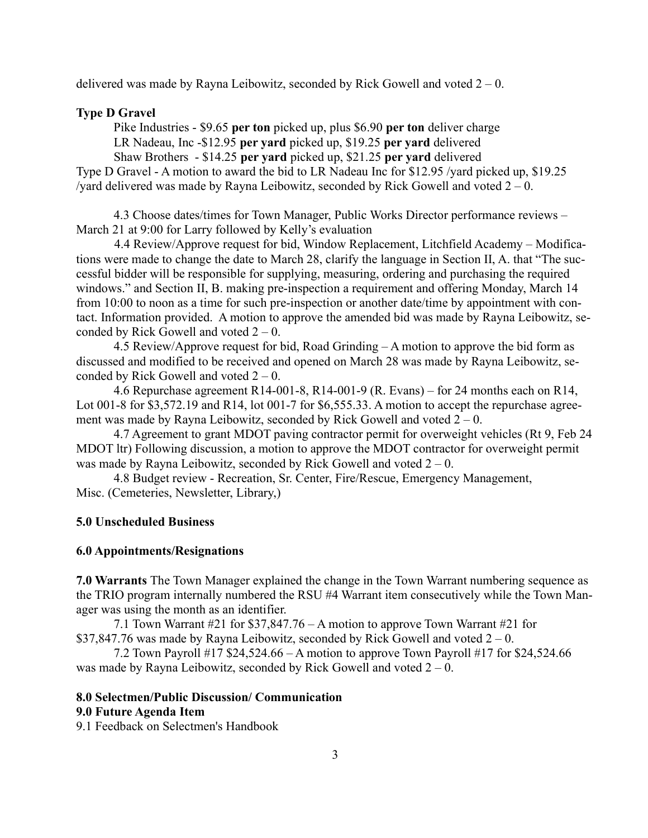delivered was made by Rayna Leibowitz, seconded by Rick Gowell and voted  $2 - 0$ .

## Type D Gravel

Pike Industries - \$9.65 per ton picked up, plus \$6.90 per ton deliver charge LR Nadeau, Inc -\$12.95 per yard picked up, \$19.25 per yard delivered

 Shaw Brothers - \$14.25 per yard picked up, \$21.25 per yard delivered Type D Gravel - A motion to award the bid to LR Nadeau Inc for \$12.95 /yard picked up, \$19.25 /yard delivered was made by Rayna Leibowitz, seconded by Rick Gowell and voted  $2 - 0$ .

 4.3 Choose dates/times for Town Manager, Public Works Director performance reviews – March 21 at 9:00 for Larry followed by Kelly's evaluation

4.4 Review/Approve request for bid, Window Replacement, Litchfield Academy – Modifications were made to change the date to March 28, clarify the language in Section II, A. that "The successful bidder will be responsible for supplying, measuring, ordering and purchasing the required windows." and Section II, B. making pre-inspection a requirement and offering Monday, March 14 from 10:00 to noon as a time for such pre-inspection or another date/time by appointment with contact. Information provided. A motion to approve the amended bid was made by Rayna Leibowitz, seconded by Rick Gowell and voted  $2 - 0$ .

 4.5 Review/Approve request for bid, Road Grinding – A motion to approve the bid form as discussed and modified to be received and opened on March 28 was made by Rayna Leibowitz, seconded by Rick Gowell and voted  $2 - 0$ .

 4.6 Repurchase agreement R14-001-8, R14-001-9 (R. Evans) – for 24 months each on R14, Lot 001-8 for \$3,572.19 and R14, lot 001-7 for \$6,555.33. A motion to accept the repurchase agreement was made by Rayna Leibowitz, seconded by Rick Gowell and voted  $2 - 0$ .

 4.7 Agreement to grant MDOT paving contractor permit for overweight vehicles (Rt 9, Feb 24 MDOT ltr) Following discussion, a motion to approve the MDOT contractor for overweight permit was made by Rayna Leibowitz, seconded by Rick Gowell and voted  $2 - 0$ .

 4.8 Budget review - Recreation, Sr. Center, Fire/Rescue, Emergency Management, Misc. (Cemeteries, Newsletter, Library,)

#### 5.0 Unscheduled Business

#### 6.0 Appointments/Resignations

7.0 Warrants The Town Manager explained the change in the Town Warrant numbering sequence as the TRIO program internally numbered the RSU #4 Warrant item consecutively while the Town Manager was using the month as an identifier.

 7.1 Town Warrant #21 for \$37,847.76 – A motion to approve Town Warrant #21 for \$37,847.76 was made by Rayna Leibowitz, seconded by Rick Gowell and voted  $2 - 0$ .

 7.2 Town Payroll #17 \$24,524.66 – A motion to approve Town Payroll #17 for \$24,524.66 was made by Rayna Leibowitz, seconded by Rick Gowell and voted  $2 - 0$ .

#### 8.0 Selectmen/Public Discussion/ Communication

#### 9.0 Future Agenda Item

9.1 Feedback on Selectmen's Handbook